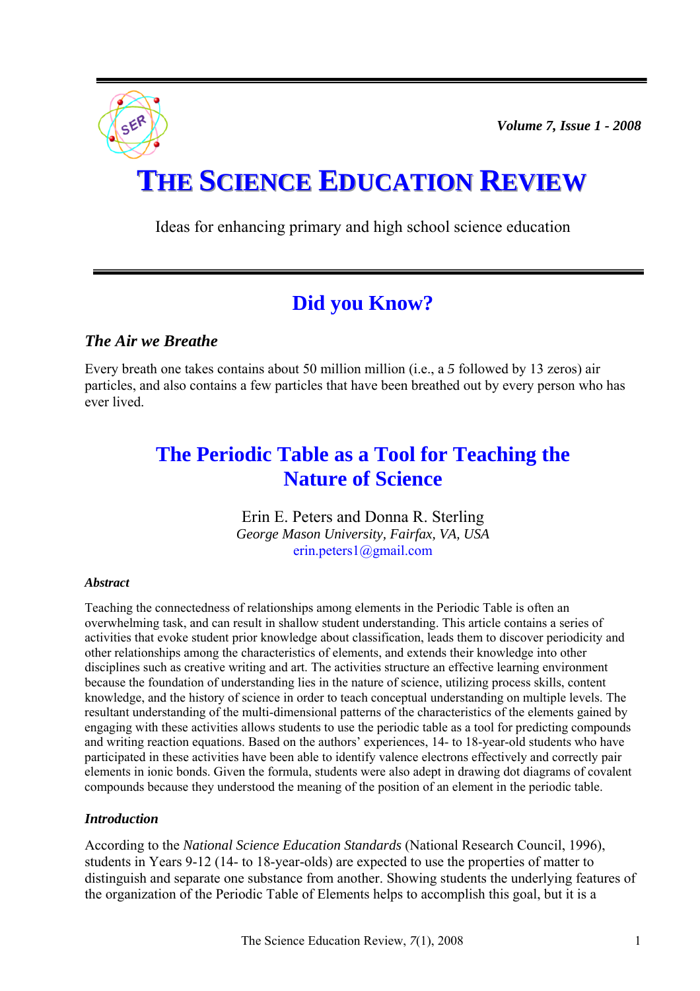*Volume 7, Issue 1 - 2008* 



Ideas for enhancing primary and high school science education

# **Did you Know?**

# *The Air we Breathe*

Every breath one takes contains about 50 million million (i.e., a *5* followed by 13 zeros) air particles, and also contains a few particles that have been breathed out by every person who has ever lived.

# **The Periodic Table as a Tool for Teaching the Nature of Science**

Erin E. Peters and Donna R. Sterling *George Mason University, Fairfax, VA, USA*  erin[.peters1@gmail.com](mailto:peters1@gmail.com) 

## *Abstract*

Teaching the connectedness of relationships among elements in the Periodic Table is often an overwhelming task, and can result in shallow student understanding. This article contains a series of activities that evoke student prior knowledge about classification, leads them to discover periodicity and other relationships among the characteristics of elements, and extends their knowledge into other disciplines such as creative writing and art. The activities structure an effective learning environment because the foundation of understanding lies in the nature of science, utilizing process skills, content knowledge, and the history of science in order to teach conceptual understanding on multiple levels. The resultant understanding of the multi-dimensional patterns of the characteristics of the elements gained by engaging with these activities allows students to use the periodic table as a tool for predicting compounds and writing reaction equations. Based on the authors' experiences, 14- to 18-year-old students who have participated in these activities have been able to identify valence electrons effectively and correctly pair elements in ionic bonds. Given the formula, students were also adept in drawing dot diagrams of covalent compounds because they understood the meaning of the position of an element in the periodic table.

## *Introduction*

According to the *National Science Education Standards* (National Research Council, 1996), students in Years 9-12 (14- to 18-year-olds) are expected to use the properties of matter to distinguish and separate one substance from another. Showing students the underlying features of the organization of the Periodic Table of Elements helps to accomplish this goal, but it is a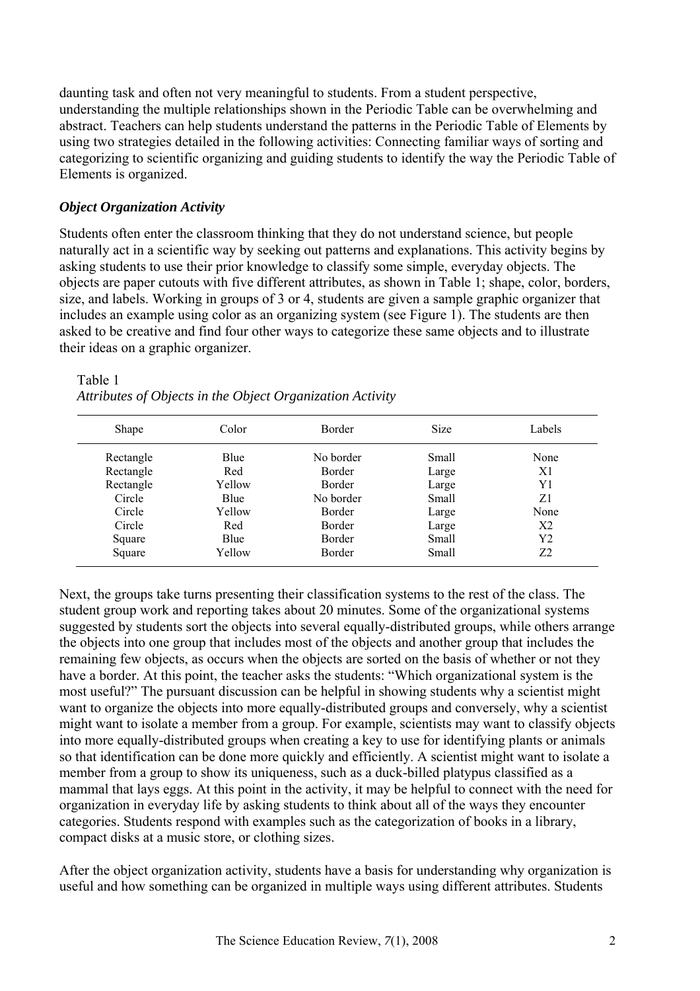daunting task and often not very meaningful to students. From a student perspective, understanding the multiple relationships shown in the Periodic Table can be overwhelming and abstract. Teachers can help students understand the patterns in the Periodic Table of Elements by using two strategies detailed in the following activities: Connecting familiar ways of sorting and categorizing to scientific organizing and guiding students to identify the way the Periodic Table of Elements is organized.

## *Object Organization Activity*

Students often enter the classroom thinking that they do not understand science, but people naturally act in a scientific way by seeking out patterns and explanations. This activity begins by asking students to use their prior knowledge to classify some simple, everyday objects. The objects are paper cutouts with five different attributes, as shown in Table 1; shape, color, borders, size, and labels. Working in groups of 3 or 4, students are given a sample graphic organizer that includes an example using color as an organizing system (see Figure 1). The students are then asked to be creative and find four other ways to categorize these same objects and to illustrate their ideas on a graphic organizer.

Table 1

| Shape     | Color  | <b>Border</b> | <b>Size</b> | Labels         |
|-----------|--------|---------------|-------------|----------------|
| Rectangle | Blue   | No border     | Small       | None           |
| Rectangle | Red    | <b>Border</b> | Large       | X <sub>1</sub> |
| Rectangle | Yellow | <b>Border</b> | Large       | Y1             |
| Circle    | Blue   | No border     | Small       | Z1             |
| Circle    | Yellow | <b>Border</b> | Large       | None           |
| Circle    | Red    | Border        | Large       | X <sub>2</sub> |
| Square    | Blue   | <b>Border</b> | Small       | Y2             |
| Square    | Yellow | Border        | Small       | 72             |

*Attributes of Objects in the Object Organization Activity* 

Next, the groups take turns presenting their classification systems to the rest of the class. The student group work and reporting takes about 20 minutes. Some of the organizational systems suggested by students sort the objects into several equally-distributed groups, while others arrange the objects into one group that includes most of the objects and another group that includes the remaining few objects, as occurs when the objects are sorted on the basis of whether or not they have a border. At this point, the teacher asks the students: "Which organizational system is the most useful?" The pursuant discussion can be helpful in showing students why a scientist might want to organize the objects into more equally-distributed groups and conversely, why a scientist might want to isolate a member from a group. For example, scientists may want to classify objects into more equally-distributed groups when creating a key to use for identifying plants or animals so that identification can be done more quickly and efficiently. A scientist might want to isolate a member from a group to show its uniqueness, such as a duck-billed platypus classified as a mammal that lays eggs. At this point in the activity, it may be helpful to connect with the need for organization in everyday life by asking students to think about all of the ways they encounter categories. Students respond with examples such as the categorization of books in a library, compact disks at a music store, or clothing sizes.

After the object organization activity, students have a basis for understanding why organization is useful and how something can be organized in multiple ways using different attributes. Students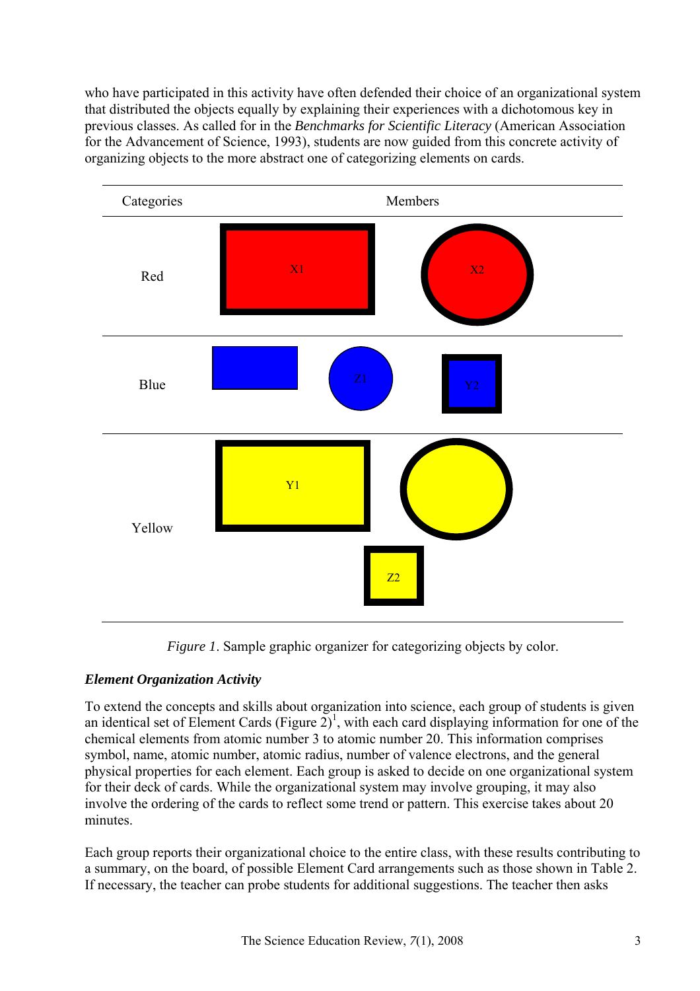who have participated in this activity have often defended their choice of an organizational system that distributed the objects equally by explaining their experiences with a dichotomous key in previous classes. As called for in the *Benchmarks for Scientific Literacy* (American Association for the Advancement of Science, 1993), students are now guided from this concrete activity of organizing objects to the more abstract one of categorizing elements on cards.





# *Element Organization Activity*

To extend the concepts and skills about organization into science, each group of students is given an identical set of Element Cards (Figure  $2)^{1}$ , with each card displaying information for one of the chemical elements from atomic number 3 to atomic number 20. This information comprises symbol, name, atomic number, atomic radius, number of valence electrons, and the general physical properties for each element. Each group is asked to decide on one organizational system for their deck of cards. While the organizational system may involve grouping, it may also involve the ordering of the cards to reflect some trend or pattern. This exercise takes about 20 minutes.

Each group reports their organizational choice to the entire class, with these results contributing to a summary, on the board, of possible Element Card arrangements such as those shown in Table 2. If necessary, the teacher can probe students for additional suggestions. The teacher then asks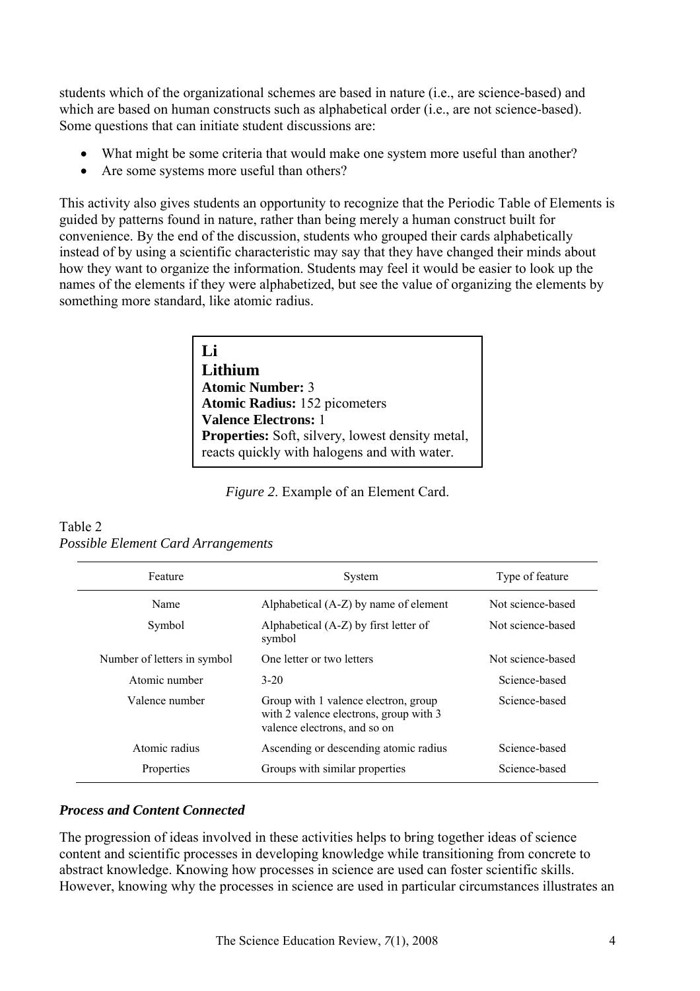students which of the organizational schemes are based in nature (i.e., are science-based) and which are based on human constructs such as alphabetical order (i.e., are not science-based). Some questions that can initiate student discussions are:

- What might be some criteria that would make one system more useful than another?
- Are some systems more useful than others?

This activity also gives students an opportunity to recognize that the Periodic Table of Elements is guided by patterns found in nature, rather than being merely a human construct built for convenience. By the end of the discussion, students who grouped their cards alphabetically instead of by using a scientific characteristic may say that they have changed their minds about how they want to organize the information. Students may feel it would be easier to look up the names of the elements if they were alphabetized, but see the value of organizing the elements by something more standard, like atomic radius.

> **Li Lithium Atomic Number:** 3 **Atomic Radius:** 152 picometers **Valence Electrons:** 1 **Properties:** Soft, silvery, lowest density metal. reacts quickly with halogens and with water.

*Figure 2*. Example of an Element Card.

| Feature                     | System                                                                                                         | Type of feature   |
|-----------------------------|----------------------------------------------------------------------------------------------------------------|-------------------|
| Name                        | Alphabetical $(A-Z)$ by name of element                                                                        | Not science-based |
| Symbol                      | Alphabetical (A-Z) by first letter of<br>symbol                                                                | Not science-based |
| Number of letters in symbol | One letter or two letters                                                                                      | Not science-based |
| Atomic number               | $3 - 20$                                                                                                       | Science-based     |
| Valence number              | Group with 1 valence electron, group<br>with 2 valence electrons, group with 3<br>valence electrons, and so on | Science-based     |
| Atomic radius               | Ascending or descending atomic radius                                                                          | Science-based     |
| Properties                  | Groups with similar properties                                                                                 | Science-based     |

#### Table 2 *Possible Element Card Arrangements*

## *Process and Content Connected*

The progression of ideas involved in these activities helps to bring together ideas of science content and scientific processes in developing knowledge while transitioning from concrete to abstract knowledge. Knowing how processes in science are used can foster scientific skills. However, knowing why the processes in science are used in particular circumstances illustrates an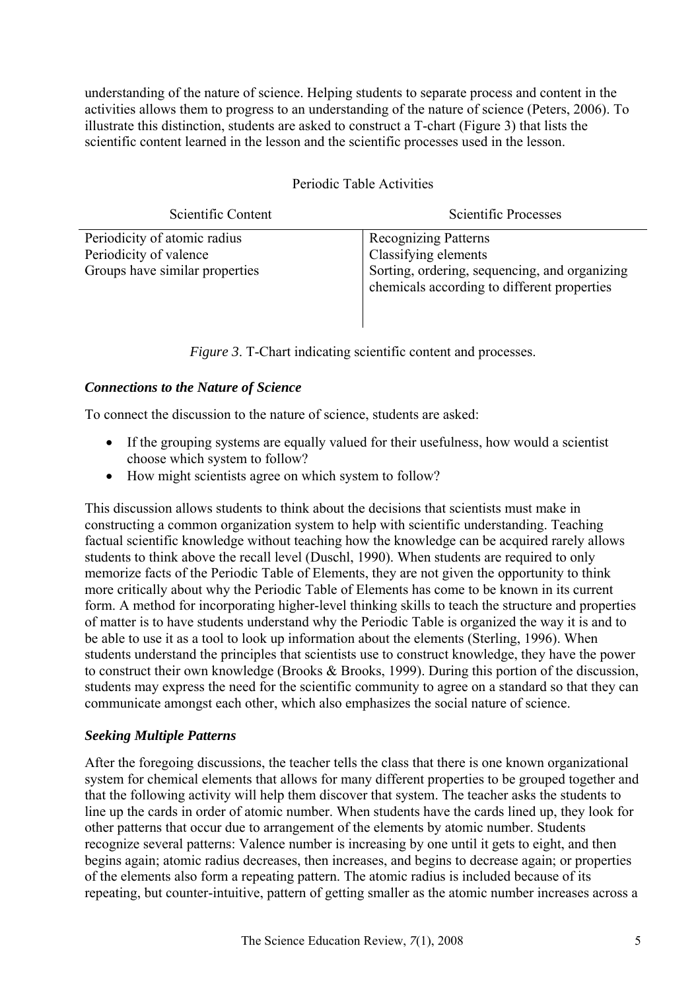understanding of the nature of science. Helping students to separate process and content in the activities allows them to progress to an understanding of the nature of science (Peters, 2006). To illustrate this distinction, students are asked to construct a T-chart (Figure 3) that lists the scientific content learned in the lesson and the scientific processes used in the lesson.

Periodic Table Activities

| Scientific Content                                                                       | Scientific Processes                                                                                                                                |
|------------------------------------------------------------------------------------------|-----------------------------------------------------------------------------------------------------------------------------------------------------|
| Periodicity of atomic radius<br>Periodicity of valence<br>Groups have similar properties | <b>Recognizing Patterns</b><br>Classifying elements<br>Sorting, ordering, sequencing, and organizing<br>chemicals according to different properties |

*Figure 3.* T-Chart indicating scientific content and processes.

## *Connections to the Nature of Science*

To connect the discussion to the nature of science, students are asked:

- If the grouping systems are equally valued for their usefulness, how would a scientist choose which system to follow?
- How might scientists agree on which system to follow?

This discussion allows students to think about the decisions that scientists must make in constructing a common organization system to help with scientific understanding. Teaching factual scientific knowledge without teaching how the knowledge can be acquired rarely allows students to think above the recall level (Duschl, 1990). When students are required to only memorize facts of the Periodic Table of Elements, they are not given the opportunity to think more critically about why the Periodic Table of Elements has come to be known in its current form. A method for incorporating higher-level thinking skills to teach the structure and properties of matter is to have students understand why the Periodic Table is organized the way it is and to be able to use it as a tool to look up information about the elements (Sterling, 1996). When students understand the principles that scientists use to construct knowledge, they have the power to construct their own knowledge (Brooks & Brooks, 1999). During this portion of the discussion, students may express the need for the scientific community to agree on a standard so that they can communicate amongst each other, which also emphasizes the social nature of science.

## *Seeking Multiple Patterns*

After the foregoing discussions, the teacher tells the class that there is one known organizational system for chemical elements that allows for many different properties to be grouped together and that the following activity will help them discover that system. The teacher asks the students to line up the cards in order of atomic number. When students have the cards lined up, they look for other patterns that occur due to arrangement of the elements by atomic number. Students recognize several patterns: Valence number is increasing by one until it gets to eight, and then begins again; atomic radius decreases, then increases, and begins to decrease again; or properties of the elements also form a repeating pattern. The atomic radius is included because of its repeating, but counter-intuitive, pattern of getting smaller as the atomic number increases across a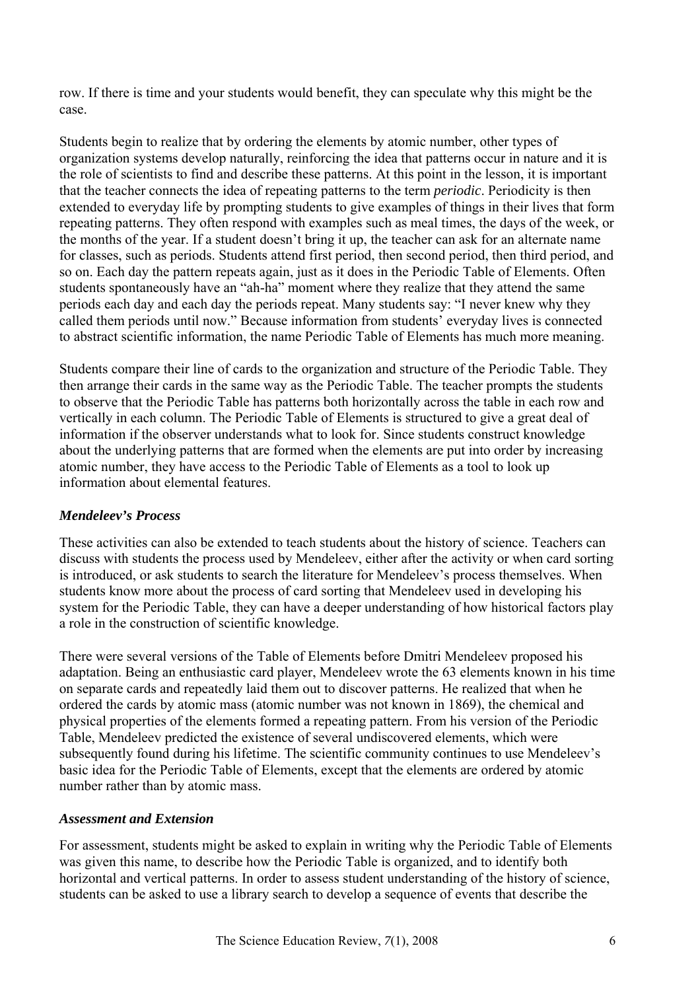row. If there is time and your students would benefit, they can speculate why this might be the case.

Students begin to realize that by ordering the elements by atomic number, other types of organization systems develop naturally, reinforcing the idea that patterns occur in nature and it is the role of scientists to find and describe these patterns. At this point in the lesson, it is important that the teacher connects the idea of repeating patterns to the term *periodic*. Periodicity is then extended to everyday life by prompting students to give examples of things in their lives that form repeating patterns. They often respond with examples such as meal times, the days of the week, or the months of the year. If a student doesn't bring it up, the teacher can ask for an alternate name for classes, such as periods. Students attend first period, then second period, then third period, and so on. Each day the pattern repeats again, just as it does in the Periodic Table of Elements. Often students spontaneously have an "ah-ha" moment where they realize that they attend the same periods each day and each day the periods repeat. Many students say: "I never knew why they called them periods until now." Because information from students' everyday lives is connected to abstract scientific information, the name Periodic Table of Elements has much more meaning.

Students compare their line of cards to the organization and structure of the Periodic Table. They then arrange their cards in the same way as the Periodic Table. The teacher prompts the students to observe that the Periodic Table has patterns both horizontally across the table in each row and vertically in each column. The Periodic Table of Elements is structured to give a great deal of information if the observer understands what to look for. Since students construct knowledge about the underlying patterns that are formed when the elements are put into order by increasing atomic number, they have access to the Periodic Table of Elements as a tool to look up information about elemental features.

## *Mendeleev's Process*

These activities can also be extended to teach students about the history of science. Teachers can discuss with students the process used by Mendeleev, either after the activity or when card sorting is introduced, or ask students to search the literature for Mendeleev's process themselves. When students know more about the process of card sorting that Mendeleev used in developing his system for the Periodic Table, they can have a deeper understanding of how historical factors play a role in the construction of scientific knowledge.

There were several versions of the Table of Elements before Dmitri Mendeleev proposed his adaptation. Being an enthusiastic card player, Mendeleev wrote the 63 elements known in his time on separate cards and repeatedly laid them out to discover patterns. He realized that when he ordered the cards by atomic mass (atomic number was not known in 1869), the chemical and physical properties of the elements formed a repeating pattern. From his version of the Periodic Table, Mendeleev predicted the existence of several undiscovered elements, which were subsequently found during his lifetime. The scientific community continues to use Mendeleev's basic idea for the Periodic Table of Elements, except that the elements are ordered by atomic number rather than by atomic mass.

## *Assessment and Extension*

For assessment, students might be asked to explain in writing why the Periodic Table of Elements was given this name, to describe how the Periodic Table is organized, and to identify both horizontal and vertical patterns. In order to assess student understanding of the history of science, students can be asked to use a library search to develop a sequence of events that describe the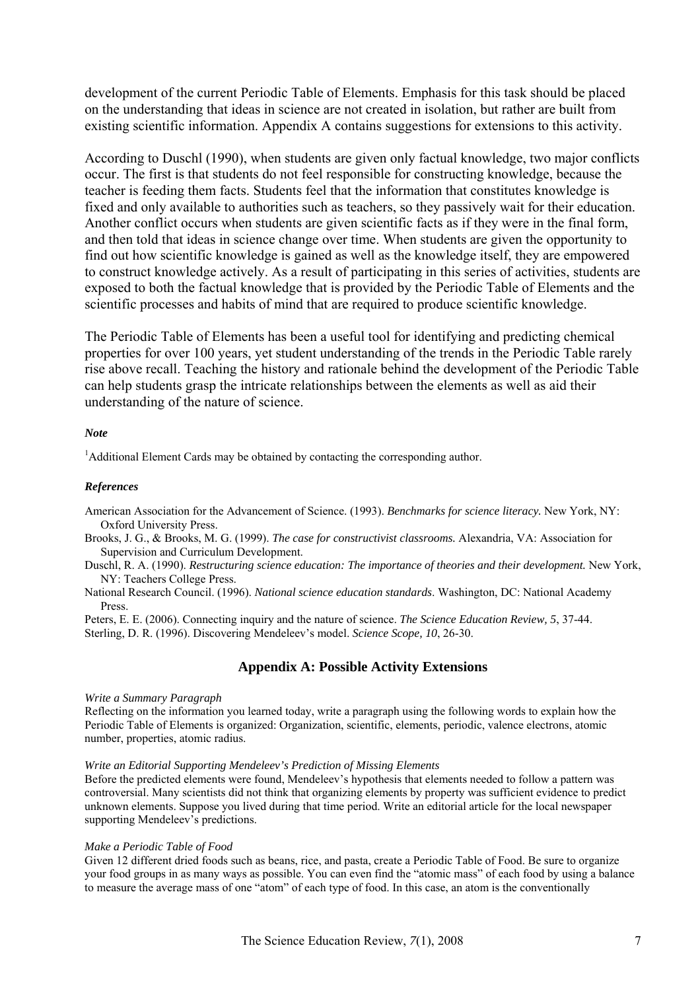development of the current Periodic Table of Elements. Emphasis for this task should be placed on the understanding that ideas in science are not created in isolation, but rather are built from existing scientific information. Appendix A contains suggestions for extensions to this activity.

According to Duschl (1990), when students are given only factual knowledge, two major conflicts occur. The first is that students do not feel responsible for constructing knowledge, because the teacher is feeding them facts. Students feel that the information that constitutes knowledge is fixed and only available to authorities such as teachers, so they passively wait for their education. Another conflict occurs when students are given scientific facts as if they were in the final form, and then told that ideas in science change over time. When students are given the opportunity to find out how scientific knowledge is gained as well as the knowledge itself, they are empowered to construct knowledge actively. As a result of participating in this series of activities, students are exposed to both the factual knowledge that is provided by the Periodic Table of Elements and the scientific processes and habits of mind that are required to produce scientific knowledge.

The Periodic Table of Elements has been a useful tool for identifying and predicting chemical properties for over 100 years, yet student understanding of the trends in the Periodic Table rarely rise above recall. Teaching the history and rationale behind the development of the Periodic Table can help students grasp the intricate relationships between the elements as well as aid their understanding of the nature of science.

#### *Note*

<sup>1</sup>Additional Element Cards may be obtained by contacting the corresponding author.

#### *References*

American Association for the Advancement of Science. (1993). *Benchmarks for science literacy.* New York, NY: Oxford University Press.

Brooks, J. G., & Brooks, M. G. (1999). *The case for constructivist classrooms.* Alexandria, VA: Association for Supervision and Curriculum Development.

Duschl, R. A. (1990). *Restructuring science education: The importance of theories and their development*. New York, NY: Teachers College Press.

National Research Council. (1996). *National science education standards*. Washington, DC: National Academy Press.

Peters, E. E. (2006). Connecting inquiry and the nature of science. *The Science Education Review, 5*, 37-44. Sterling, D. R. (1996). Discovering Mendeleev's model. *Science Scope, 10*, 26-30.

#### **Appendix A: Possible Activity Extensions**

#### *Write a Summary Paragraph*

Reflecting on the information you learned today, write a paragraph using the following words to explain how the Periodic Table of Elements is organized: Organization, scientific, elements, periodic, valence electrons, atomic number, properties, atomic radius.

#### *Write an Editorial Supporting Mendeleev's Prediction of Missing Elements*

Before the predicted elements were found, Mendeleev's hypothesis that elements needed to follow a pattern was controversial. Many scientists did not think that organizing elements by property was sufficient evidence to predict unknown elements. Suppose you lived during that time period. Write an editorial article for the local newspaper supporting Mendeleev's predictions.

#### *Make a Periodic Table of Food*

Given 12 different dried foods such as beans, rice, and pasta, create a Periodic Table of Food. Be sure to organize your food groups in as many ways as possible. You can even find the "atomic mass" of each food by using a balance to measure the average mass of one "atom" of each type of food. In this case, an atom is the conventionally